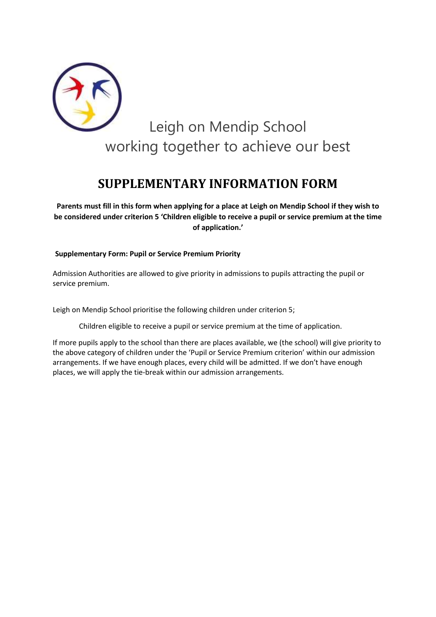

## **SUPPLEMENTARY INFORMATION FORM**

**Parents must fill in this form when applying for a place at Leigh on Mendip School if they wish to be considered under criterion 5 'Children eligible to receive a pupil or service premium at the time of application.'**

## **Supplementary Form: Pupil or Service Premium Priority**

Admission Authorities are allowed to give priority in admissions to pupils attracting the pupil or service premium.

Leigh on Mendip School prioritise the following children under criterion 5;

Children eligible to receive a pupil or service premium at the time of application.

If more pupils apply to the school than there are places available, we (the school) will give priority to the above category of children under the 'Pupil or Service Premium criterion' within our admission arrangements. If we have enough places, every child will be admitted. If we don't have enough places, we will apply the tie-break within our admission arrangements.